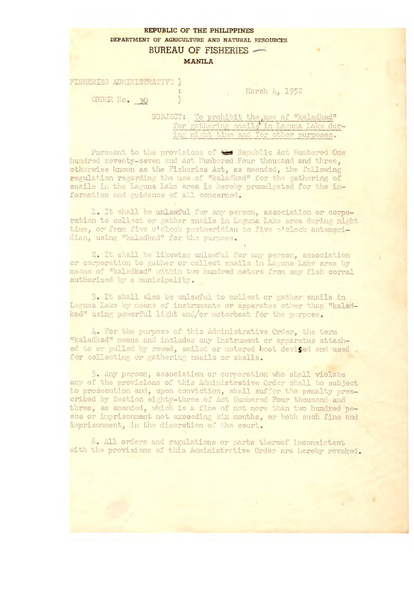## REPUBLIC OF THE PHILIPPINES DEPARTMENT OF AGRICULTURE AND NATURAL RESOURCES BUREAU OF FISHERIES

## MANILA

FISHERIES ADMINISTRATIVE )

ORDER No. 30

March 4, 1952

SUBJECT: To prohibit the use of "kaladkad" for gathering snails in Laguna Lake during night time and for other purposes.

Pursuant to the provisions of the Republic Act Numbered One hundred seventy-seven and Act Numbered Four thousand and three, otherwise known as the Fisheries Act, as amended, the following regulation regarding the use of "kaladkad" for the gathering of snails in the Laguna Lake area is hereby promulgated for the information and guidance of all concerned.

1. It shall be unlawful for any person, association or corporation to collect or gather snails in Laguna Lake area during night time, or from five o'clock postmeridian to five o'clock antemeridian, using "kaladkad" for the purpose.

2. It shall be likewise unlawful for any person, association or corporation to gather or collect snails in Laguna Lake area by means of "kaladkad" within two hundred meters from any fish corral authorized *by* a municipality.

3. It shall also be unlawful to collect or' gather snails in Laguna Lake by means of instruments or apparatus other than "kaladkad" using powerful light and/or motorboat for the purpose.

4. For the purpose of this Administrative Order, the term "kaladkad" means and includes any instrument or apparatus attached to or pulled by rowed, sailed or motored boat devised and used for collecting or gathering snails or shells.

5. Any person, association or corporation who shall violate any of the provisions of this Administrative Order shall be subject to prosecution and, upon conviction, shall suffer the penalty prescribed by Section eighty-three of Act Numbered Four thousand and three, as amended, which is a fine of not more than two hundred pesos or imprisonment not exceeding six months, or both such fine and imprisonment, in the discretion of the court.

6. All orders and regulations or parts thereof inconsistent with the provisions of this Administrative Order are hereby revoked.